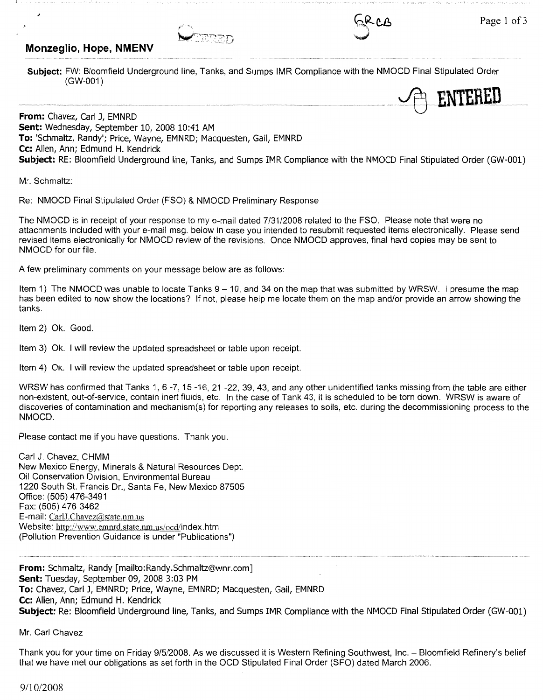## **Monzeglio, Hope, NMENV**





**Subject:** FW: Bloomfield Underground line, Tanks, and Sumps IMR Compliance with the NMOCD Final Stipulated Order (GW-001)



**From:** Chavez, Carl J, EMNRD **Sent:** Wednesday, September 10, 2008 10:41 AM **To:** 'Schmaltz, Randy'; Price, Wayne, EMNRD; Macquesten, Gail, EMNRD **Cc:** Allen, Ann; Edmund H. Kendrick **Subject:** RE: Bloomfield Underground line, Tanks, and Sumps IMR Compliance with the NMOCD Final Stipulated Order (GW-001)

Mr. Schmaltz:

>

Re: NMOCD Final Stipulated Order (FSO) & NMOCD Preliminary Response

The NMOCD is in receipt of your response to my e-mail dated 7/31/2008 related to the FSO. Please note that were no attachments included with your e-mail msg. below in case you intended to resubmit requested items electronically. Please send revised items electronically for NMOCD review of the revisions. Once NMOCD approves, final hard copies may be sent to **NMOCD** for our file.

A few preliminary comments on your message below are as follows:

Item 1) The NMOCD was unable to locate Tanks 9 - 10, and 34 on the map that was submitted by WRSW. I presume the map has been edited to now show the locations? If not, please help me locate them on the map and/or provide an arrow showing the tanks.

Item 2) Ok. Good.

Item 3) Ok. I will review the updated spreadsheet or table upon receipt.

Item 4) Ok. I will review the updated spreadsheet or table upon receipt.

WRSW has confirmed that Tanks 1, 6 -7, 15 -16, 21 -22, 39, 43, and any other unidentified tanks missing from the table are either non-existent, out-of-service, contain inert fluids, etc. In the case of Tank 43, it is scheduled to be torn down. WRSW is aware of discoveries of contamination and mechanism(s) for reporting any releases to soils, etc. during the decommissioning process to the **NMOCD.** 

Please contact me if you have questions. Thank you.

Carl J. Chavez, CHMM New Mexico Energy, Minerals & Natural Resources Dept. Oil Conservation Division, Environmental Bureau 1220 South St. Francis Dr., Santa Fe, New Mexico 87505 Office: (505) 476-3491 Fax: (505) 476-3462 E-mail: CarlJ.Chavez@state.nm.us Website: http://www.emmd.state.nm.us/ocd/index.htm (Pollution Prevention Guidance is under "Publications")

**From:** Schmaltz, Randy [mailto:Randy.Schmaltz@wnr.com] **Sent:** Tuesday, September 09, 2008 3:03 PM **To:** Chavez, Carl J, EMNRD; Price, Wayne, EMNRD; Macquesten, Gail, EMNRD **Cc:** Allen, Ann; Edmund H. Kendrick **Subject:** Re: Bloomfield Underground line, Tanks, and Sumps IMR Compliance with the NMOCD Final Stipulated Order (GW-001)

Mr. Carl Chavez

Thank you for your time on Friday 9/5/2008. As we discussed it is Western Refining Southwest, Inc. - Bloomfield Refinery's belief that we have met our obligations as set forth in the OCD Stipulated Final Order (SFO) dated March 2006.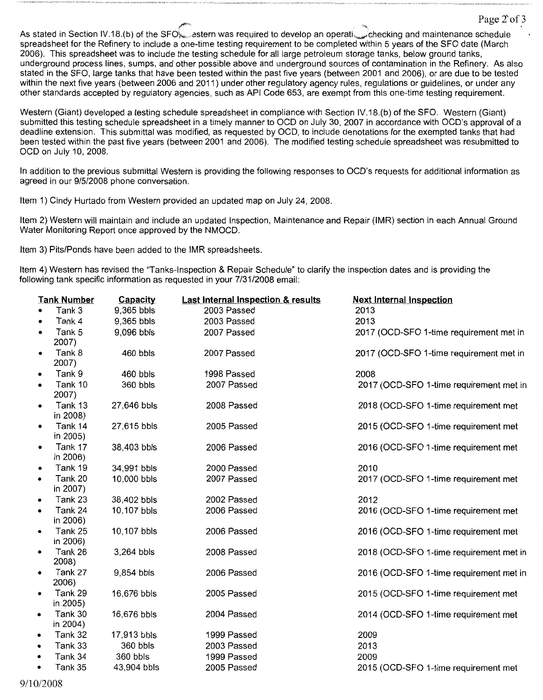As stated in Section IV.18.(b) of the SFO setern was required to develop an operatischecking and maintenance schedule spreadsheet for the Refinery to include a one-time testing requirement to be completed within 5 years of the SFO date (March 2006). This spreadsheet was to include the testing schedule for all large petroleum storage tanks, below ground tanks, underground process lines, sumps, and other possible above and underground sources of contamination in the Refinery. As also stated in the SFO, large tanks that have been tested within the past five years (between 2001 and 2006), or are due to be tested within the next five years (between 2006 and 2011) under other regulatory agency rules, regulations or guidelines, or under any other standards accepted by regulatory agencies, such as API Code 653, are exempt from this one-time testing requirement.

 $\text{Page 2 of 3}$ 

Western (Giant) developed a testing schedule spreadsheet in compliance with Section IV.18.(b) of the SFO. Western (Giant) submitted this testing schedule spreadsheet in a timely manner to OCD on July 30, 2007 in accordance with OCD's approval of a deadline extension. This submittal was modified, as requested by OCD, to include denotations for the exempted tanks that had been tested within the past five years (between 2001 and 2006). The modified testing schedule spreadsheet was resubmitted to OCD on July 10, 2008.

In addition to the previous submittal Western is providing the following responses to OCD's requests for additional information as agreed in our 9/5/2008 phone conversation.

Item 1) Cindy Hurtado from Western provided an updated map on July 24, 2008.

Item 2) Western will maintain and include an updated Inspection, Maintenance and Repair (IMR) section in each Annual Ground Water Monitoring Report once approved by the NMOCD.

Item 3) Pits/Ponds have been added to the IMR spreadsheets.

Item 4) Western has revised the "Tanks-Inspection & Repair Schedule" to clarify the inspection dates and is providing the following tank specific information as requested in your 7/31/2008 email:

| <b>Tank Number</b> |                  | Capacity    | Last Internal Inspection & results | <b>Next Internal Inspection</b>         |
|--------------------|------------------|-------------|------------------------------------|-----------------------------------------|
|                    | Tank 3           | 9,365 bbls  | 2003 Passed                        | 2013                                    |
|                    | Tank 4           | 9,365 bbls  | 2003 Passed                        | 2013                                    |
|                    | Tank 5           | 9,096 bbls  | 2007 Passed                        | 2017 (OCD-SFO 1-time requirement met in |
|                    | 2007)            |             |                                    |                                         |
|                    | Tank 8           | 460 bbls    | 2007 Passed                        | 2017 (OCD-SFO 1-time requirement met in |
|                    | 2007)            |             |                                    |                                         |
|                    | Tank 9           | 460 bbls    | 1998 Passed                        | 2008                                    |
|                    | Tank 10          | 360 bbls    | 2007 Passed                        | 2017 (OCD-SFO 1-time requirement met in |
|                    | 2007)            |             |                                    |                                         |
|                    | Tank 13          | 27,646 bbls | 2008 Passed                        | 2018 (OCD-SFO 1-time requirement met    |
|                    | in 2008)         |             |                                    |                                         |
|                    | Tank 14          | 27,615 bbls | 2005 Passed                        | 2015 (OCD-SFO 1-time requirement met    |
|                    | in 2005)         |             |                                    |                                         |
|                    | Tank 17          | 38,403 bbls | 2006 Passed                        | 2016 (OCD-SFO 1-time requirement met    |
|                    | in 2006)         |             |                                    |                                         |
| ٠                  | Tank 19          | 34,991 bbls | 2000 Passed                        | 2010                                    |
| $\bullet$          | Tank 20          | 10,000 bbls | 2007 Passed                        | 2017 (OCD-SFO 1-time requirement met    |
|                    | in 2007)         |             |                                    |                                         |
| $\bullet$          | Tank 23          | 38,402 bbls | 2002 Passed                        | 2012                                    |
| $\bullet$          | Tank 24          | 10,107 bbls | 2006 Passed                        | 2016 (OCD-SFO 1-time requirement met    |
|                    | in 2006)         |             |                                    |                                         |
| $\bullet$          | Tank 25          | 10,107 bbls | 2006 Passed                        | 2016 (OCD-SFO 1-time requirement met    |
|                    | in 2006)         |             |                                    |                                         |
|                    | Tank 26          | 3,264 bbls  | 2008 Passed                        | 2018 (OCD-SFO 1-time requirement met in |
|                    | 2008)            |             |                                    |                                         |
|                    | Tank 27<br>2006) | 9,854 bbls  | 2006 Passed                        | 2016 (OCD-SFO 1-time requirement met in |
|                    | Tank 29          |             |                                    |                                         |
|                    | in 2005)         | 16,676 bbls | 2005 Passed                        | 2015 (OCD-SFO 1-time requirement met    |
| $\bullet$          | Tank 30          | 16,676 bbls | 2004 Passed                        | 2014 (OCD-SFO 1-time requirement met    |
|                    | in 2004)         |             |                                    |                                         |
| ٠                  | Tank 32          | 17,913 bbls | 1999 Passed                        | 2009                                    |
| $\bullet$          | Tank 33          | 360 bbls    | 2003 Passed                        | 2013                                    |
|                    | Tank 34          | 360 bbls    | 1999 Passed                        | 2009                                    |
| $\bullet$          | Tank 35          |             | 2005 Passed                        |                                         |
|                    |                  | 43,904 bbls |                                    | 2015 (OCD-SFO 1-time requirement met    |

9/10/2008